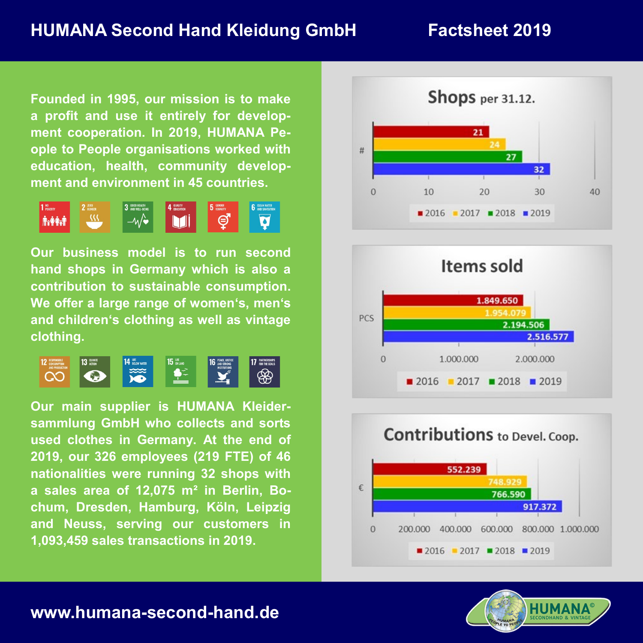**Founded in 1995, our mission is to make a profit and use it entirely for development cooperation. In 2019, HUMANA People to People organisations worked with education, health, community development and environment in 45 countries.**



**Our business model is to run second hand shops in Germany which is also a contribution to sustainable consumption. We offer a large range of women's, men's and children's clothing as well as vintage clothing.**



**Our main supplier is HUMANA Kleidersammlung GmbH who collects and sorts used clothes in Germany. At the end of 2019, our 326 employees (219 FTE) of 46 nationalities were running 32 shops with a sales area of 12,075 m² in Berlin, Bochum, Dresden, Hamburg, Köln, Leipzig and Neuss, serving our customers in 1,093,459 sales transactions in 2019.**









## **www.humana-second-hand.de**